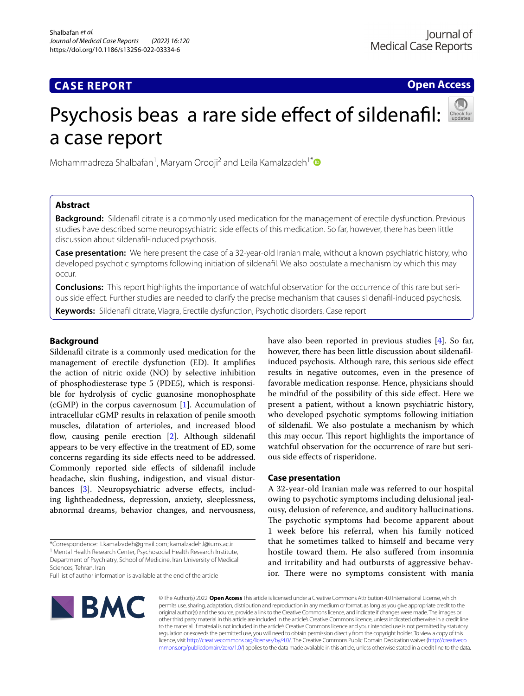# **CASE REPORT**

**Open Access**

# Psychosis beas a rare side effect of sildenafil: a case report

Mohammadreza Shalbafan<sup>1</sup>, Maryam Orooji<sup>2</sup> and Leila Kamalzadeh<sup>1[\\*](http://orcid.org/0000-0002-2444-7195)</sup>

# **Abstract**

**Background:** Sildenafl citrate is a commonly used medication for the management of erectile dysfunction. Previous studies have described some neuropsychiatric side effects of this medication. So far, however, there has been little discussion about sildenafl-induced psychosis.

**Case presentation:** We here present the case of a 32-year-old Iranian male, without a known psychiatric history, who developed psychotic symptoms following initiation of sildenafl. We also postulate a mechanism by which this may occur.

**Conclusions:** This report highlights the importance of watchful observation for the occurrence of this rare but serious side efect. Further studies are needed to clarify the precise mechanism that causes sildenafl-induced psychosis.

**Keywords:** Sildenafl citrate, Viagra, Erectile dysfunction, Psychotic disorders, Case report

# **Background**

Sildenafl citrate is a commonly used medication for the management of erectile dysfunction (ED). It amplifes the action of nitric oxide (NO) by selective inhibition of phosphodiesterase type 5 (PDE5), which is responsible for hydrolysis of cyclic guanosine monophosphate (cGMP) in the corpus cavernosum [[1](#page-2-0)]. Accumulation of intracellular cGMP results in relaxation of penile smooth muscles, dilatation of arterioles, and increased blood flow, causing penile erection [[2\]](#page-2-1). Although sildenafil appears to be very efective in the treatment of ED, some concerns regarding its side efects need to be addressed. Commonly reported side efects of sildenafl include headache, skin fushing, indigestion, and visual distur-bances [\[3](#page-2-2)]. Neuropsychiatric adverse effects, including lightheadedness, depression, anxiety, sleeplessness, abnormal dreams, behavior changes, and nervousness,

\*Correspondence: Lkamalzadeh@gmail.com; kamalzadeh.l@iums.ac.ir <sup>1</sup> Mental Health Research Center, Psychosocial Health Research Institute, Department of Psychiatry, School of Medicine, Iran University of Medical Sciences, Tehran, Iran Full list of author information is available at the end of the article

have also been reported in previous studies [\[4](#page-3-0)]. So far, however, there has been little discussion about sildenaflinduced psychosis. Although rare, this serious side efect results in negative outcomes, even in the presence of favorable medication response. Hence, physicians should be mindful of the possibility of this side efect. Here we present a patient, without a known psychiatric history, who developed psychotic symptoms following initiation of sildenafl. We also postulate a mechanism by which this may occur. This report highlights the importance of watchful observation for the occurrence of rare but serious side efects of risperidone.

## **Case presentation**

A 32-year-old Iranian male was referred to our hospital owing to psychotic symptoms including delusional jealousy, delusion of reference, and auditory hallucinations. The psychotic symptoms had become apparent about 1 week before his referral, when his family noticed that he sometimes talked to himself and became very hostile toward them. He also sufered from insomnia and irritability and had outbursts of aggressive behavior. There were no symptoms consistent with mania



© The Author(s) 2022. **Open Access** This article is licensed under a Creative Commons Attribution 4.0 International License, which permits use, sharing, adaptation, distribution and reproduction in any medium or format, as long as you give appropriate credit to the original author(s) and the source, provide a link to the Creative Commons licence, and indicate if changes were made. The images or other third party material in this article are included in the article's Creative Commons licence, unless indicated otherwise in a credit line to the material. If material is not included in the article's Creative Commons licence and your intended use is not permitted by statutory regulation or exceeds the permitted use, you will need to obtain permission directly from the copyright holder. To view a copy of this licence, visit [http://creativecommons.org/licenses/by/4.0/.](http://creativecommons.org/licenses/by/4.0/) The Creative Commons Public Domain Dedication waiver ([http://creativeco](http://creativecommons.org/publicdomain/zero/1.0/) [mmons.org/publicdomain/zero/1.0/](http://creativecommons.org/publicdomain/zero/1.0/)) applies to the data made available in this article, unless otherwise stated in a credit line to the data.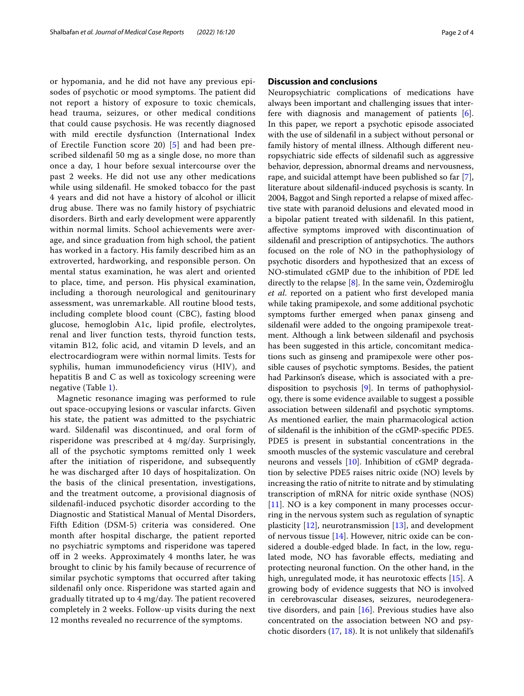or hypomania, and he did not have any previous episodes of psychotic or mood symptoms. The patient did not report a history of exposure to toxic chemicals, head trauma, seizures, or other medical conditions that could cause psychosis. He was recently diagnosed with mild erectile dysfunction (International Index of Erectile Function score 20) [[5\]](#page-3-1) and had been prescribed sildenafl 50 mg as a single dose, no more than once a day, 1 hour before sexual intercourse over the past 2 weeks. He did not use any other medications while using sildenafl. He smoked tobacco for the past 4 years and did not have a history of alcohol or illicit drug abuse. There was no family history of psychiatric disorders. Birth and early development were apparently within normal limits. School achievements were average, and since graduation from high school, the patient has worked in a factory. His family described him as an extroverted, hardworking, and responsible person. On mental status examination, he was alert and oriented to place, time, and person. His physical examination, including a thorough neurological and genitourinary assessment, was unremarkable. All routine blood tests, including complete blood count (CBC), fasting blood glucose, hemoglobin A1c, lipid profle, electrolytes, renal and liver function tests, thyroid function tests, vitamin B12, folic acid, and vitamin D levels, and an electrocardiogram were within normal limits. Tests for syphilis, human immunodeficiency virus (HIV), and hepatitis B and C as well as toxicology screening were negative (Table [1](#page-2-3)).

Magnetic resonance imaging was performed to rule out space-occupying lesions or vascular infarcts. Given his state, the patient was admitted to the psychiatric ward. Sildenafl was discontinued, and oral form of risperidone was prescribed at 4 mg/day. Surprisingly, all of the psychotic symptoms remitted only 1 week after the initiation of risperidone, and subsequently he was discharged after 10 days of hospitalization. On the basis of the clinical presentation, investigations, and the treatment outcome, a provisional diagnosis of sildenafl-induced psychotic disorder according to the Diagnostic and Statistical Manual of Mental Disorders, Fifth Edition (DSM-5) criteria was considered. One month after hospital discharge, the patient reported no psychiatric symptoms and risperidone was tapered off in 2 weeks. Approximately 4 months later, he was brought to clinic by his family because of recurrence of similar psychotic symptoms that occurred after taking sildenafl only once. Risperidone was started again and gradually titrated up to 4 mg/day. The patient recovered completely in 2 weeks. Follow-up visits during the next 12 months revealed no recurrence of the symptoms.

# **Discussion and conclusions**

Neuropsychiatric complications of medications have always been important and challenging issues that interfere with diagnosis and management of patients [\[6](#page-3-2)]. In this paper, we report a psychotic episode associated with the use of sildenafl in a subject without personal or family history of mental illness. Although diferent neuropsychiatric side efects of sildenafl such as aggressive behavior, depression, abnormal dreams and nervousness, rape, and suicidal attempt have been published so far [\[7](#page-3-3)], literature about sildenafl-induced psychosis is scanty. In 2004, Baggot and Singh reported a relapse of mixed afective state with paranoid delusions and elevated mood in a bipolar patient treated with sildenafl. In this patient, afective symptoms improved with discontinuation of sildenafil and prescription of antipsychotics. The authors focused on the role of NO in the pathophysiology of psychotic disorders and hypothesized that an excess of NO-stimulated cGMP due to the inhibition of PDE led directly to the relapse [\[8](#page-3-4)]. In the same vein, Özdemiroğlu *et al*. reported on a patient who frst developed mania while taking pramipexole, and some additional psychotic symptoms further emerged when panax ginseng and sildenafl were added to the ongoing pramipexole treatment. Although a link between sildenafl and psychosis has been suggested in this article, concomitant medications such as ginseng and pramipexole were other possible causes of psychotic symptoms. Besides, the patient had Parkinson's disease, which is associated with a predisposition to psychosis [[9\]](#page-3-5). In terms of pathophysiology, there is some evidence available to suggest a possible association between sildenafl and psychotic symptoms. As mentioned earlier, the main pharmacological action of sildenafl is the inhibition of the cGMP-specifc PDE5. PDE5 is present in substantial concentrations in the smooth muscles of the systemic vasculature and cerebral neurons and vessels [[10\]](#page-3-6). Inhibition of cGMP degradation by selective PDE5 raises nitric oxide (NO) levels by increasing the ratio of nitrite to nitrate and by stimulating transcription of mRNA for nitric oxide synthase (NOS) [[11\]](#page-3-7). NO is a key component in many processes occurring in the nervous system such as regulation of synaptic plasticity  $[12]$  $[12]$ , neurotransmission  $[13]$  $[13]$ , and development of nervous tissue [[14\]](#page-3-10). However, nitric oxide can be considered a double-edged blade. In fact, in the low, regulated mode, NO has favorable efects, mediating and protecting neuronal function. On the other hand, in the high, unregulated mode, it has neurotoxic effects [\[15](#page-3-11)]. A growing body of evidence suggests that NO is involved in cerebrovascular diseases, seizures, neurodegenerative disorders, and pain [\[16](#page-3-12)]. Previous studies have also concentrated on the association between NO and psychotic disorders [\(17](#page-3-13), [18\)](#page-3-14). It is not unlikely that sildenafl's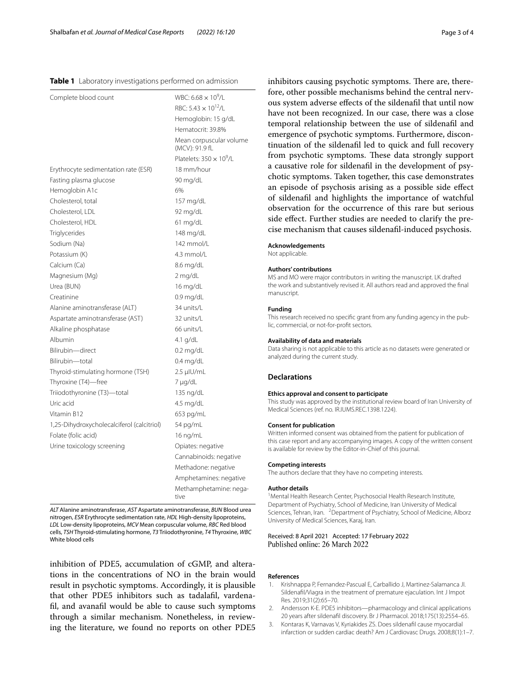#### <span id="page-2-3"></span>**Table 1** Laboratory investigations performed on admission

| Complete blood count                       | WBC: 6.68 $\times$ 10 <sup>9</sup> /L     |
|--------------------------------------------|-------------------------------------------|
|                                            | RBC: 5.43 $\times$ 10 <sup>12</sup> /L    |
|                                            | Hemoglobin: 15 g/dL                       |
|                                            | Hematocrit: 39.8%                         |
|                                            | Mean corpuscular volume<br>(MCV): 91.9 fL |
|                                            | Platelets: $350 \times 10^9$ /L           |
| Erythrocyte sedimentation rate (ESR)       | 18 mm/hour                                |
| Fasting plasma glucose                     | 90 mg/dL                                  |
| Hemoglobin A1c                             | 6%                                        |
| Cholesterol, total                         | 157 mg/dL                                 |
| Cholesterol, LDL                           | 92 mg/dL                                  |
| Cholesterol, HDL                           | $61 \text{ mg/dL}$                        |
| Triglycerides                              | $148 \text{ mg/dL}$                       |
| Sodium (Na)                                | 142 mmol/l                                |
| Potassium (K)                              | 4.3 mmol/L                                |
| Calcium (Ca)                               | 8.6 mg/dL                                 |
| Magnesium (Mg)                             | 2 mg/dL                                   |
| Urea (BUN)                                 | 16 $mg/dL$                                |
| Creatinine                                 | $0.9 \text{ mg/dL}$                       |
| Alanine aminotransferase (ALT)             | 34 units/L                                |
| Aspartate aminotransferase (AST)           | 32 units/L                                |
| Alkaline phosphatase                       | 66 units/L                                |
| Albumin                                    | 4.1 g/dL                                  |
| Bilirubin-direct                           | $0.2 \text{ mg/dL}$                       |
| Bilirubin-total                            | $0.4 \text{ mg/dL}$                       |
| Thyroid-stimulating hormone (TSH)          | 2.5 µIU/mL                                |
| Thyroxine (T4)-free                        | 7 µg/dL                                   |
| Triiodothyronine (T3)-total                | $135 \nmid dL$                            |
| Uric acid                                  | 4.5 mg/dL                                 |
| Vitamin B12                                | 653 pg/mL                                 |
| 1,25-Dihydroxycholecalciferol (calcitriol) | 54 pg/mL                                  |
| Folate (folic acid)                        | 16 ng/mL                                  |
| Urine toxicology screening                 | Opiates: negative                         |
|                                            | Cannabinoids: negative                    |
|                                            | Methadone: negative                       |
|                                            | Amphetamines: negative                    |
|                                            | Methamphetamine: nega-<br>tive            |

*ALT* Alanine aminotransferase, *AST* Aspartate aminotransferase, *BUN* Blood urea nitrogen, *ESR* Erythrocyte sedimentation rate, *HDL* High-density lipoproteins, *LDL* Low-density lipoproteins, *MCV* Mean corpuscular volume, *RBC* Red blood cells, *TSH* Thyroid-stimulating hormone, *T3* Triiodothyronine, *T4* Thyroxine, *WBC* White blood cells

inhibition of PDE5, accumulation of cGMP, and alterations in the concentrations of NO in the brain would result in psychotic symptoms. Accordingly, it is plausible that other PDE5 inhibitors such as tadalafl, vardenafl, and avanafl would be able to cause such symptoms through a similar mechanism. Nonetheless, in reviewing the literature, we found no reports on other PDE5 inhibitors causing psychotic symptoms. There are, therefore, other possible mechanisms behind the central nervous system adverse efects of the sildenafl that until now have not been recognized. In our case, there was a close temporal relationship between the use of sildenafl and emergence of psychotic symptoms. Furthermore, discontinuation of the sildenafl led to quick and full recovery from psychotic symptoms. These data strongly support a causative role for sildenafl in the development of psychotic symptoms. Taken together, this case demonstrates an episode of psychosis arising as a possible side efect of sildenafl and highlights the importance of watchful observation for the occurrence of this rare but serious side efect. Further studies are needed to clarify the precise mechanism that causes sildenafl-induced psychosis.

#### **Acknowledgements**

Not applicable.

#### **Authors' contributions**

MS and MO were major contributors in writing the manuscript. LK drafted the work and substantively revised it. All authors read and approved the fnal manuscript.

#### **Funding**

This research received no specifc grant from any funding agency in the public, commercial, or not-for-proft sectors.

#### **Availability of data and materials**

Data sharing is not applicable to this article as no datasets were generated or analyzed during the current study.

#### **Declarations**

#### **Ethics approval and consent to participate**

This study was approved by the institutional review board of Iran University of Medical Sciences (ref. no. IR.IUMS.REC.1398.1224).

#### **Consent for publication**

Written informed consent was obtained from the patient for publication of this case report and any accompanying images. A copy of the written consent is available for review by the Editor-in-Chief of this journal.

### **Competing interests**

The authors declare that they have no competing interests.

#### **Author details**

<sup>1</sup> Mental Health Research Center, Psychosocial Health Research Institute, Department of Psychiatry, School of Medicine, Iran University of Medical Sciences, Tehran, Iran. <sup>2</sup> Department of Psychiatry, School of Medicine, Alborz University of Medical Sciences, Karaj, Iran.

#### Received: 8 April 2021 Accepted: 17 February 2022 Published online: 26 March 2022

#### **References**

- <span id="page-2-0"></span>1. Krishnappa P, Fernandez-Pascual E, Carballido J, Martinez-Salamanca JI. Sildenafl/Viagra in the treatment of premature ejaculation. Int J Impot Res. 2019;31(2):65–70.
- <span id="page-2-1"></span>2. Andersson K-E. PDE5 inhibitors—pharmacology and clinical applications 20 years after sildenafl discovery. Br J Pharmacol. 2018;175(13):2554–65.
- <span id="page-2-2"></span>3. Kontaras K, Varnavas V, Kyriakides ZS. Does sildenafl cause myocardial infarction or sudden cardiac death? Am J Cardiovasc Drugs. 2008;8(1):1–7.